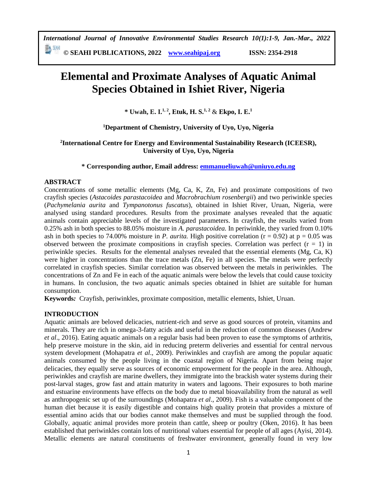*International Journal of Innovative Environmental Studies Research 10(1):1-9, Jan.-Mar., 2022*

勤跚 **© SEAHI PUBLICATIONS, 2022 [www.seahipaj.org](http://www.seahipaj.org/) ISSN: 2354-2918**

# **Elemental and Proximate Analyses of Aquatic Animal Species Obtained in Ishiet River, Nigeria**

**\* Uwah, E. I.1, 2 , Etuk, H. S.1, 2** & **Ekpo, I. E.<sup>1</sup>**

**<sup>1</sup>Department of Chemistry, University of Uyo, Uyo, Nigeria**

# **2 International Centre for Energy and Environmental Sustainability Research (ICEESR), University of Uyo, Uyo, Nigeria**

**\* Corresponding author, Email address: [emmanueliuwah@uniuyo.edu.ng](mailto:emmanueliuwah@uniuyo.edu.ng)**

# **ABSTRACT**

Concentrations of some metallic elements (Mg, Ca, K, Zn, Fe) and proximate compositions of two crayfish species (*Astacoides parastacoidea* and *Macrobrachium rosenbergii*) and two periwinkle species (*Pachymelania aurita* and *Tympanotonus fuscatus*), obtained in Ishiet River, Uruan, Nigeria, were analysed using standard procedures. Results from the proximate analyses revealed that the aquatic animals contain appreciable levels of the investigated parameters. In crayfish, the results varied from 0.25% ash in both species to 88.05% moisture in *A. parastacoidea.* In periwinkle, they varied from 0.10% ash in both species to 74.00% moisture in *P. aurita*. High positive correlation ( $r = 0.92$ ) at  $p = 0.05$  was observed between the proximate compositions in crayfish species. Correlation was perfect  $(r = 1)$  in periwinkle species. Results for the elemental analyses revealed that the essential elements (Mg, Ca, K) were higher in concentrations than the trace metals (Zn, Fe) in all species. The metals were perfectly correlated in crayfish species. Similar correlation was observed between the metals in periwinkles. The concentrations of Zn and Fe in each of the aquatic animals were below the levels that could cause toxicity in humans. In conclusion, the two aquatic animals species obtained in Ishiet are suitable for human consumption.

**Keywords***:* Crayfish, periwinkles, proximate composition, metallic elements, Ishiet, Uruan.

# **INTRODUCTION**

Aquatic animals are beloved delicacies, nutrient-rich and serve as good sources of protein, vitamins and minerals. They are rich in omega-3-fatty acids and useful in the reduction of common diseases (Andrew *et al*., 2016). Eating aquatic animals on a regular basis had been proven to ease the symptoms of arthritis, help preserve moisture in the skin, aid in reducing preterm deliveries and essential for central nervous system development (Mohapatra *et al*., 2009). Periwinkles and crayfish are among the popular aquatic animals consumed by the people living in the coastal region of Nigeria. Apart from being major delicacies, they equally serve as sources of economic empowerment for the people in the area. Although, periwinkles and crayfish are marine dwellers, they immigrate into the brackish water systems during their post-larval stages, grow fast and attain maturity in waters and lagoons. Their exposures to both marine and estuarine environments have effects on the body due to metal bioavailability from the natural as well as anthropogenic set up of the surroundings (Mohapatra *et al*., 2009). Fish is a valuable component of the human diet because it is easily digestible and contains high quality protein that provides a mixture of essential amino acids that our bodies cannot make themselves and must be supplied through the food. Globally, aquatic animal provides more protein than cattle, sheep or poultry (Oken, 2016). It has been established that periwinkles contain lots of nutritional values essential for people of all ages (Ayisi, 2014). Metallic elements are natural constituents of freshwater environment, generally found in very low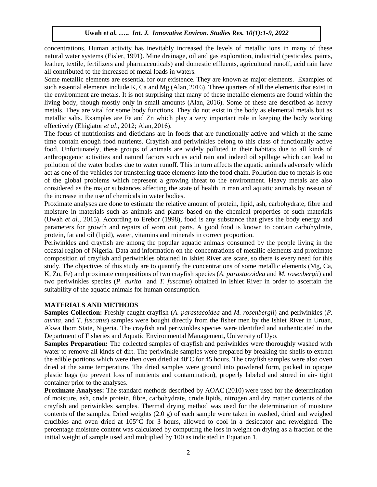concentrations. Human activity has inevitably increased the levels of metallic ions in many of these natural water systems (Eisler, 1991). Mine drainage, oil and gas exploration, industrial (pesticides, paints, leather, textile, fertilizers and pharmaceuticals) and domestic effluents, agricultural runoff, acid rain have all contributed to the increased of metal loads in waters.

Some metallic elements are essential for our existence. They are known as major elements. Examples of such essential elements include K, Ca and Mg (Alan, 2016). Three quarters of all the elements that exist in the environment are metals. It is not surprising that many of these metallic elements are found within the living body, though mostly only in small amounts (Alan, 2016). Some of these are described as heavy metals. They are vital for some body functions. They do not exist in the body as elemental metals but as metallic salts. Examples are Fe and Zn which play a very important role in keeping the body working effectively (Ehigiator *et al*., 2012; Alan, 2016).

The focus of nutritionists and dieticians are in foods that are functionally active and which at the same time contain enough food nutrients. Crayfish and periwinkles belong to this class of functionally active food. Unfortunately, these groups of animals are widely polluted in their habitats due to all kinds of anthropogenic activities and natural factors such as acid rain and indeed oil spillage which can lead to pollution of the water bodies due to water runoff. This in turn affects the aquatic animals adversely which act as one of the vehicles for transferring trace elements into the food chain. Pollution due to metals is one of the global problems which represent a growing threat to the environment. Heavy metals are also considered as the major substances affecting the state of health in man and aquatic animals by reason of the increase in the use of chemicals in water bodies.

Proximate analyses are done to estimate the relative amount of protein, lipid, ash, carbohydrate, fibre and moisture in materials such as animals and plants based on the chemical properties of such materials (Uwah *et al*., 2015). According to Erebor (1998), food is any substance that gives the body energy and parameters for growth and repairs of worn out parts. A good food is known to contain carbohydrate, protein, fat and oil (lipid), water, vitamins and minerals in correct proportion.

Periwinkles and crayfish are among the popular aquatic animals consumed by the people living in the coastal region of Nigeria. Data and information on the concentrations of metallic elements and proximate composition of crayfish and periwinkles obtained in Ishiet River are scare, so there is every need for this study. The objectives of this study are to quantify the concentrations of some metallic elements (Mg, Ca, K, Zn, Fe) and proximate compositions of two crayfish species (*A. parastacoidea* and *M. rosenbergii*) and two periwinkles species (*P. aurita* and *T. fuscatus*) obtained in Ishiet River in order to ascertain the suitability of the aquatic animals for human consumption.

#### **MATERIALS AND METHODS**

**Samples Collection:** Freshly caught crayfish (*A. parastacoidea* and *M. rosenbergii*) and periwinkles (*P. aurita*, and *T. fuscatus*) samples were bought directly from the fisher men by the Ishiet River in Uruan, Akwa Ibom State, Nigeria. The crayfish and periwinkles species were identified and authenticated in the Department of Fisheries and Aquatic Environmental Management**,** University of Uyo.

**Samples Preparation:** The collected samples of crayfish and periwinkles were thoroughly washed with water to remove all kinds of dirt. The periwinkle samples were prepared by breaking the shells to extract the edible portions which were then oven dried at  $40^{\circ}$ C for 45 hours. The crayfish samples were also oven dried at the same temperature. The dried samples were ground into powdered form, packed in opaque plastic bags (to prevent loss of nutrients and contamination), properly labeled and stored in air- tight container prior to the analyses.

**Proximate Analyses:** The standard methods described by AOAC (2010) were used for the determination of moisture, ash, crude protein, fibre, carbohydrate, crude lipids, nitrogen and dry matter contents of the crayfish and periwinkles samples. Thermal drying method was used for the determination of moisture contents of the samples. Dried weights (2.0 g) of each sample were taken in washed, dried and weighed crucibles and oven dried at 105°C for 3 hours, allowed to cool in a desiccator and reweighed. The percentage moisture content was calculated by computing the loss in weight on drying as a fraction of the initial weight of sample used and multiplied by 100 as indicated in Equation 1.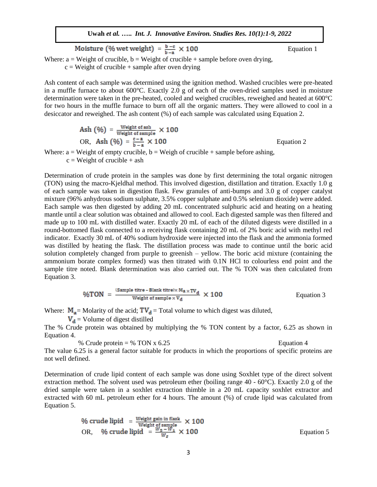Moisture  $(\%$  wet weight) =  $\frac{b-c}{b-a} \times 100$  Equation 1

Where:  $a = Weight of crucible, b = Weight of crucible + sample before oven drying,$  $c = Weight of crucible + sample after oven drying$ 

Ash content of each sample was determined using the ignition method. Washed crucibles were pre-heated in a muffle furnace to about 600 $^{\circ}$ C. Exactly 2.0 g of each of the oven-dried samples used in moisture determination were taken in the pre-heated, cooled and weighed crucibles, reweighed and heated at 600°C for two hours in the muffle furnace to burn off all the organic matters. They were allowed to cool in a desiccator and reweighed. The ash content (%) of each sample was calculated using Equation 2.

$$
\text{Ash } (\%) = \frac{\text{Weight of ash}}{\text{Weight of sample}} \times 100
$$
\n
$$
\text{OR, Ash } (\%) = \frac{c - a}{b - a} \times 100
$$
\nEquation 2

Where:  $a = Weight of empty crucible, b = Weight of crucible + sample before asking,$ 

 $c = Weight of  $circle + ash$$ 

Determination of crude protein in the samples was done by first determining the total organic nitrogen (TON) using the macro-Kjeldhal method. This involved digestion, distillation and titration. Exactly 1.0 g of each sample was taken in digestion flask. Few granules of anti-bumps and 3.0 g of copper catalyst mixture (96% anhydrous sodium sulphate, 3.5% copper sulphate and 0.5% selenium dioxide) were added. Each sample was then digested by adding 20 mL concentrated sulphuric acid and heating on a heating mantle until a clear solution was obtained and allowed to cool. Each digested sample was then filtered and made up to 100 mL with distilled water. Exactly 20 mL of each of the diluted digests were distilled in a round-bottomed flask connected to a receiving flask containing 20 mL of 2% boric acid with methyl red indicator. Exactly 30 mL of 40% sodium hydroxide were injected into the flask and the ammonia formed was distilled by heating the flask. The distillation process was made to continue until the boric acid solution completely changed from purple to greenish – yellow. The boric acid mixture (containing the ammonium borate complex formed) was then titrated with 0.1N HCl to colourless end point and the sample titre noted. Blank determination was also carried out. The % TON was then calculated from Equation 3.

$$
\%TON = \frac{(\text{Sample titre} - \text{Blank titre}) \times M_{\text{R}} \times TV_{\text{d}}}{\text{Weight of sample} \times V_{\text{d}}} \times 100
$$
   
Equation 3

Where:  $M_a$  = Molarity of the acid;  $TV_d$  = Total volume to which digest was diluted,

 $V_d$  = Volume of digest distilled

The % Crude protein was obtained by multiplying the % TON content by a factor, 6.25 as shown in Equation 4.

% Crude protein = % TON x  $6.25$  Equation 4

The value 6.25 is a general factor suitable for products in which the proportions of specific proteins are not well defined.

Determination of crude lipid content of each sample was done using Soxhlet type of the direct solvent extraction method. The solvent used was petroleum ether (boiling range 40 - 60°C). Exactly 2.0 g of the dried sample were taken in a soxhlet extraction thimble in a 20 mL capacity soxhlet extractor and extracted with 60 mL petroleum ether for 4 hours. The amount (%) of crude lipid was calculated from Equation 5.

\n
$$
\%
$$
 crude lipid = \frac{Weight gain in flask}{Weight of sample} \times 100\n  
\n OR,  $\%$  crude lipid = \frac{W\_2 - W\_1}{W\_s} \times 100\n  
\n Equation 5\n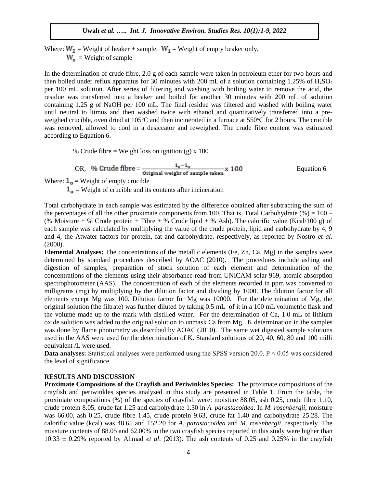Where:  $W_2$  = Weight of beaker + sample,  $W_1$  = Weight of empty beaker only,  $W_e$  = Weight of sample

In the determination of crude fibre, 2.0 g of each sample were taken in petroleum ether for two hours and then boiled under reflux apparatus for 30 minutes with 200 mL of a solution containing 1.25% of  $H<sub>2</sub>SO<sub>4</sub>$ per 100 mL solution. After series of filtering and washing with boiling water to remove the acid, the residue was transferred into a beaker and boiled for another 30 minutes with 200 mL of solution containing 1.25 g of NaOH per 100 mL. The final residue was filtered and washed with boiling water until neutral to litmus and then washed twice with ethanol and quantitatively transferred into a preweighed crucible, oven dried at  $105^{\circ}$ C and then incinerated in a furnace at  $550^{\circ}$ C for 2 hours. The crucible was removed, allowed to cool in a desiccator and reweighed. The crude fibre content was estimated according to Equation 6.

% Crude fibre = Weight loss on ignition (g)  $x$  100

OR, % Crude fibre =  $\frac{1_a - 1_0}{\text{Original weight of sample taken}}$  x 100 Equation 6

Where:  $\mathbf{1}_{\mathbf{0}}$  = Weight of empty crucible

 $\mathbf{1}_s$  = Weight of crucible and its contents after incineration

Total carbohydrate in each sample was estimated by the difference obtained after subtracting the sum of the percentages of all the other proximate components from 100. That is, Total Carbohydrate (%) =  $100 -$ (% Moisture + % Crude protein + Fibre + % Crude lipid + % Ash). The calorific value (Kcal/100 g) of each sample was calculated by multiplying the value of the crude protein, lipid and carbohydrate by 4, 9 and 4, the Atwater factors for protein, fat and carbohydrate, respectively, as reported by Nostro *et al*. (2000).

**Elemental Analyses:** The concentrations of the metallic elements (Fe, Zn, Ca, Mg) in the samples were determined by standard procedures described by AOAC (2010). The procedures include ashing and digestion of samples, preparation of stock solution of each element and determination of the concentrations of the elements using their absorbance read from UNICAM solar 969, atomic absorption spectrophotometer (AAS). The concentration of each of the elements recorded in ppm was converted to milligrams (mg) by multiplying by the dilution factor and dividing by 1000. The dilution factor for all elements except Mg was 100. Dilution factor for Mg was 10000. For the determination of Mg, the original solution (the filtrate) was further diluted by taking 0.5 mL of it in a 100 mL volumetric flask and the volume made up to the mark with distilled water. For the determination of Ca, 1.0 mL of lithium oxide solution was added to the original solution to unmask Ca from Mg. K determination in the samples was done by flame photometry as described by AOAC (2010). The same wet digested sample solutions used in the AAS were used for the determination of K. Standard solutions of 20, 40, 60, 80 and 100 milli equivalent /L were used.

**Data** analyses: Statistical analyses were performed using the SPSS version 20.0. P < 0.05 was considered the level of significance.

#### **RESULTS AND DISCUSSION**

**Proximate Compositions of the Crayfish and Periwinkles Species:** The proximate compositions of the crayfish and periwinkles species analysed in this study are presented in Table 1. From the table, the proximate compositions (%) of the species of crayfish were: moisture 88.05, ash 0.25, crude fibre 1.10, crude protein 8.05, crude fat 1.25 and carbohydrate 1.30 in *A. parastacoidea*. In *M. rosenbergii*, moisture was 66.00, ash 0.25, crude fibre 1.45, crude protein 9.63, crude fat 1.40 and carbohydrate 25.28. The calorific value (kcal) was 48.65 and 152.20 for *A. parastacoidea* and *M. rosenbergii*, respectively. The moisture contents of 88.05 and 62.00% in the two crayfish species reported in this study were higher than  $10.33 \pm 0.29\%$  reported by Ahmad *et al.* (2013). The ash contents of 0.25 and 0.25% in the crayfish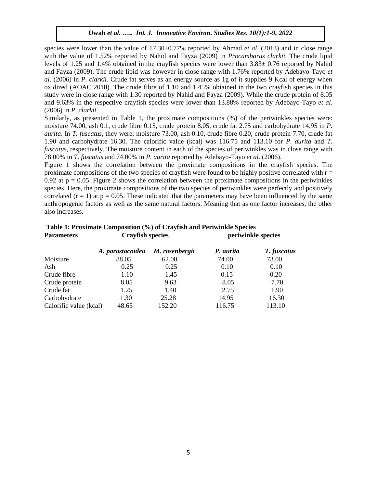species were lower than the value of 17.30±0.77% reported by Ahmad *et al*. (2013) and in close range with the value of 1.52% reported by Nahid and Fayza (2009) in *Procambarus clarkii.* The crude lipid levels of 1.25 and 1.4% obtained in the crayfish species were lower than 3.83± 0.76 reported by Nahid and Fayza (2009). The crude lipid was however in close range with 1.76% reported by Adebayo-Tayo *et al*. (2006) in *P. clarkii*. Crude fat serves as an energy source as 1g of it supplies 9 Kcal of energy when oxidized (AOAC 2010). The crude fibre of 1.10 and 1.45% obtained in the two crayfish species in this study were in close range with 1.30 reported by Nahid and Fayza (2009). While the crude protein of 8.05 and 9.63% in the respective crayfish species were lower than 13.88% reported by Adebayo-Tayo *et al*. (2006) in *P. clarkii*.

Similarly, as presented in Table 1, the proximate compositions (%) of the periwinkles species were: moisture 74.00, ash 0.1, crude fibre 0.15, crude protein 8.05, crude fat 2.75 and carbohydrate 14.95 in *P. aurita*. In *T. fuscatus*, they were: moisture 73.00, ash 0.10, crude fibre 0.20, crude protein 7.70, crude fat 1.90 and carbohydrate 16.30. The calorific value (kcal) was 116.75 and 113.10 for *P*. *aurita* and *T. fuscatus*, respectively. The moisture content in each of the species of periwinkles was in close range with 78.00% in *T. fuscatus* and 74.00% in *P. aurita* reported by Adebayo-Tayo *et al.* (2006).

Figure 1 shows the correlation between the proximate compositions in the crayfish species. The proximate compositions of the two species of crayfish were found to be highly positive correlated with  $r =$ 0.92 at  $p = 0.05$ . Figure 2 shows the correlation between the proximate compositions in the periwinkles species. Here, the proximate compositions of the two species of periwinkles were perfectly and positively correlated  $(r = 1)$  at  $p = 0.05$ . These indicated that the parameters may have been influenced by the same anthropogenic factors as well as the same natural factors. Meaning that as one factor increases, the other also increases.

| <b>Parameters</b>      | <b>Crayfish species</b> |                | periwinkle species |             |
|------------------------|-------------------------|----------------|--------------------|-------------|
|                        | A. parastacoidea        | M. rosenbergii | P. aurita          | T. fuscatus |
| Moisture               | 88.05                   | 62.00          | 74.00              | 73.00       |
| Ash                    | 0.25                    | 0.25           | 0.10               | 0.10        |
| Crude fibre            | 1.10                    | 1.45           | 0.15               | 0.20        |
| Crude protein          | 8.05                    | 9.63           | 8.05               | 7.70        |
| Crude fat              | 1.25                    | 1.40           | 2.75               | 1.90        |
| Carbohydrate           | 1.30                    | 25.28          | 14.95              | 16.30       |
| Calorific value (kcal) | 48.65                   | 152.20         | 116.75             | 113.10      |

**Table 1: Proximate Composition (%) of Crayfish and Periwinkle Species**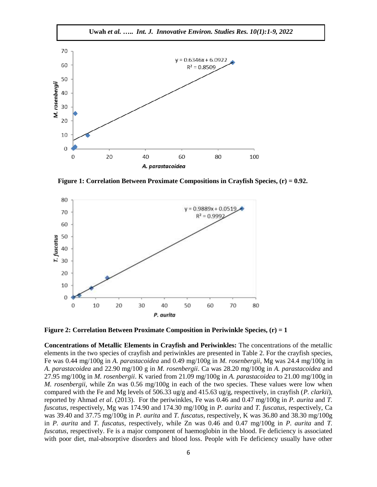

**Figure 1: Correlation Between Proximate Compositions in Crayfish Species, (r) = 0.92.**



**Figure 2: Correlation Between Proximate Composition in Periwinkle Species, (r) = 1**

**Concentrations of Metallic Elements in Crayfish and Periwinkles:** The concentrations of the metallic elements in the two species of crayfish and periwinkles are presented in Table 2. For the crayfish species, Fe was 0.44 mg/100g in *A. parastacoidea* and 0.49 mg/100g in *M. rosenbergii*, Mg was 24.4 mg/100g in *A. parastacoidea* and 22.90 mg/100 g in *M. rosenbergii*. Ca was 28.20 mg/100g in *A. parastacoidea* and 27.95 mg/100g in *M. rosenbergii*. K varied from 21.09 mg/100g in *A. parastacoidea* to 21.00 mg/100g in *M. rosenbergii*, while Zn was 0.56 mg/100g in each of the two species. These values were low when compared with the Fe and Mg levels of 506.33 ug/g and 415.63 ug/g, respectively, in crayfish (*P. clarkii*), reported by Ahmad *et al*. (2013). For the periwinkles, Fe was 0.46 and 0.47 mg/100g in *P. aurita* and *T. fuscatus*, respectively, Mg was 174.90 and 174.30 mg/100g in *P. aurita* and *T. fuscatus*, respectively, Ca was 39.40 and 37.75 mg/100g in *P. aurita* and *T. fuscatus*, respectively, K was 36.80 and 38.30 mg/100g in *P. aurita* and *T. fuscatus*, respectively, while Zn was 0.46 and 0.47 mg/100g in *P. aurita* and *T. fuscatus*, respectively. Fe is a major component of haemoglobin in the blood. Fe deficiency is associated with poor diet, mal-absorptive disorders and blood loss. People with Fe deficiency usually have other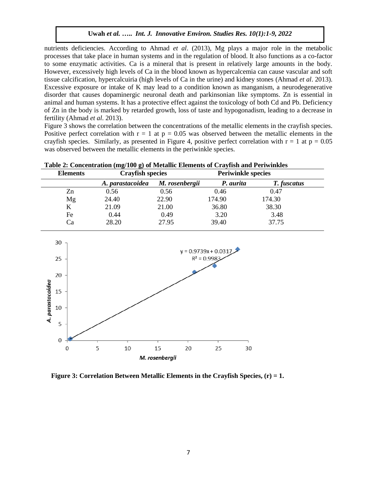nutrients deficiencies. According to Ahmad *et al*. (2013), Mg plays a major role in the metabolic processes that take place in human systems and in the regulation of blood. It also functions as a co-factor to some enzymatic activities. Ca is a mineral that is present in relatively large amounts in the body. However, excessively high levels of Ca in the blood known as hypercalcemia can cause vascular and soft tissue calcification, hypercalcuiria (high levels of Ca in the urine) and kidney stones (Ahmad *et al*. 2013). Excessive exposure or intake of K may lead to a condition known as manganism, a neurodegenerative disorder that causes dopaminergic neuronal death and parkinsonian like symptoms. Zn is essential in animal and human systems. It has a protective effect against the toxicology of both Cd and Pb. Deficiency of Zn in the body is marked by retarded growth, loss of taste and hypogonadism, leading to a decrease in fertility (Ahmad *et al*. 2013).

Figure 3 shows the correlation between the concentrations of the metallic elements in the crayfish species. Positive perfect correlation with  $r = 1$  at  $p = 0.05$  was observed between the metallic elements in the crayfish species. Similarly, as presented in Figure 4, positive perfect correlation with  $r = 1$  at  $p = 0.05$ was observed between the metallic elements in the periwinkle species.

| Table 2: Concentration (mg/100 g) of Metallic Elements of Crayfish and Periwinkles |  |
|------------------------------------------------------------------------------------|--|
|------------------------------------------------------------------------------------|--|

| <b>Elements</b> | <b>Crayfish species</b> |                | <b>Periwinkle species</b> |             |
|-----------------|-------------------------|----------------|---------------------------|-------------|
|                 | A. parastacoidea        | M. rosenbergii | P. aurita                 | T. fuscatus |
| Zn              | 0.56                    | 0.56           | 0.46                      | 0.47        |
| Mg              | 24.40                   | 22.90          | 174.90                    | 174.30      |
| K               | 21.09                   | 21.00          | 36.80                     | 38.30       |
| Fe              | 0.44                    | 0.49           | 3.20                      | 3.48        |
| Ca              | 28.20                   | 27.95          | 39.40                     | 37.75       |



**Figure 3: Correlation Between Metallic Elements in the Crayfish Species, (r) = 1.**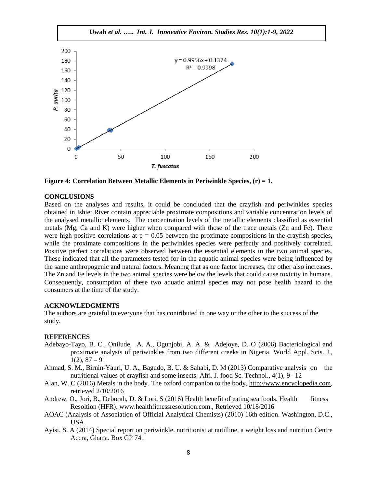

**Figure 4: Correlation Between Metallic Elements in Periwinkle Species, (r) = 1.**

#### **CONCLUSIONS**

Based on the analyses and results, it could be concluded that the crayfish and periwinkles species obtained in Ishiet River contain appreciable proximate compositions and variable concentration levels of the analysed metallic elements. The concentration levels of the metallic elements classified as essential metals (Mg, Ca and K) were higher when compared with those of the trace metals (Zn and Fe). There were high positive correlations at  $p = 0.05$  between the proximate compositions in the crayfish species, while the proximate compositions in the periwinkles species were perfectly and positively correlated. Positive perfect correlations were observed between the essential elements in the two animal species. These indicated that all the parameters tested for in the aquatic animal species were being influenced by the same anthropogenic and natural factors. Meaning that as one factor increases, the other also increases. The Zn and Fe levels in the two animal species were below the levels that could cause toxicity in humans. Consequently, consumption of these two aquatic animal species may not pose health hazard to the consumers at the time of the study.

## **ACKNOWLEDGMENTS**

The authors are grateful to everyone that has contributed in one way or the other to the success of the study.

#### **REFERENCES**

- Adebayo-Tayo, B. C., Onilude, A. A., Ogunjobi, A. A. & Adejoye, D. O (2006) Bacteriological and proximate analysis of periwinkles from two different creeks in Nigeria. World Appl. Scis. J.,  $1(2), 87 - 91$
- Ahmad, S. M., Birnin-Yauri, U. A., Bagudo, B. U. & Sahabi, D. M (2013) Comparative analysis on the nutritional values of crayfish and some insects. Afri. J. food Sc. Technol., 4(1), 9– 12
- Alan, W. C (2016) Metals in the body. The oxford companion to the body, [http://www.encyclopedia.com,](http://www.encyclopedia.com/) retrieved 2/10/2016
- Andrew, O., Jori, B., Deborah, D. & Lori, S (2016) Health benefit of eating sea foods. Health fitness Resoltion (HFR)[. www.healthfitnessresolution.com.](http://www.healthfitnessresolution.com/), Retrieved 10/18/2016
- AOAC (Analysis of Association of Official Analytical Chemists) (2010) 16th edition. Washington, D.C., USA
- Ayisi, S. A (2014) Special report on periwinkle. nutritionist at nutilline, a weight loss and nutrition Centre Accra, Ghana. Box GP 741